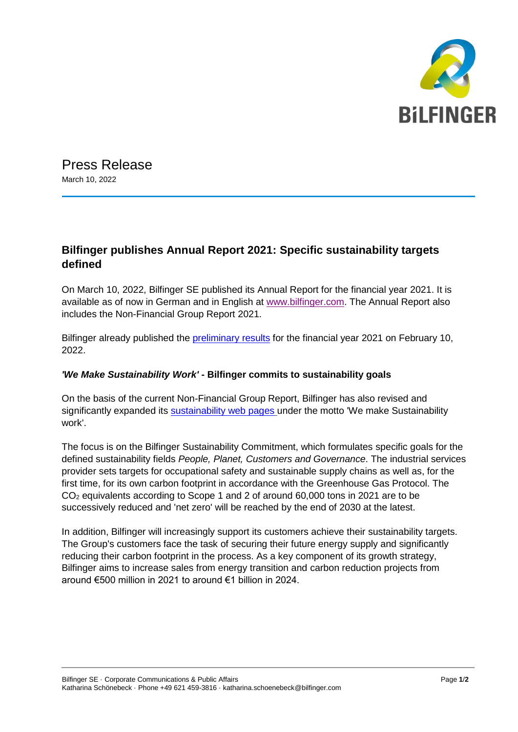

Press Release March 10, 2022

## **Bilfinger publishes Annual Report 2021: Specific sustainability targets defined**

On March 10, 2022, Bilfinger SE published its Annual Report for the financial year 2021. It is available as of now in German and in English at [www.bilfinger.com.](https://www.bilfinger.com/en/investors/publications/overview/) The Annual Report also includes the Non-Financial Group Report 2021.

Bilfinger already published the [preliminary results](https://www.bilfinger.com/en/news/press-releases/details/fy-2021-preliminary-financial-results-1/) for the financial year 2021 on February 10, 2022.

## *'We Make Sustainability Work'* **- Bilfinger commits to sustainability goals**

On the basis of the current Non-Financial Group Report, Bilfinger has also revised and significantly expanded its [sustainability web pages](https://www.bilfinger.com/en/about-us/sustainability/) under the motto 'We make Sustainability work'.

The focus is on the Bilfinger Sustainability Commitment, which formulates specific goals for the defined sustainability fields *People, Planet, Customers and Governance*. The industrial services provider sets targets for occupational safety and sustainable supply chains as well as, for the first time, for its own carbon footprint in accordance with the Greenhouse Gas Protocol. The CO<sup>2</sup> equivalents according to Scope 1 and 2 of around 60,000 tons in 2021 are to be successively reduced and 'net zero' will be reached by the end of 2030 at the latest.

In addition, Bilfinger will increasingly support its customers achieve their sustainability targets. The Group's customers face the task of securing their future energy supply and significantly reducing their carbon footprint in the process. As a key component of its growth strategy, Bilfinger aims to increase sales from energy transition and carbon reduction projects from around €500 million in 2021 to around €1 billion in 2024.